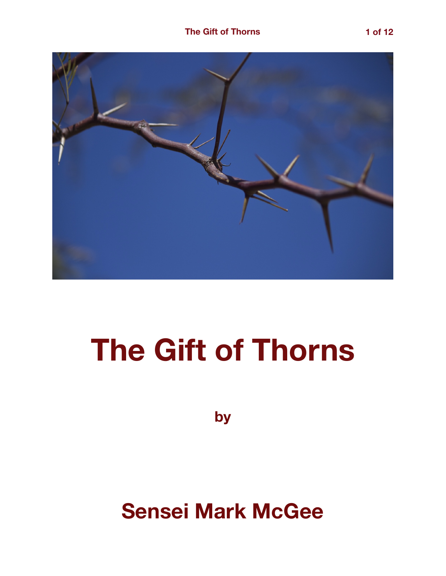

# **The Gift of Thorns**

**by** 

# **Sensei Mark McGee**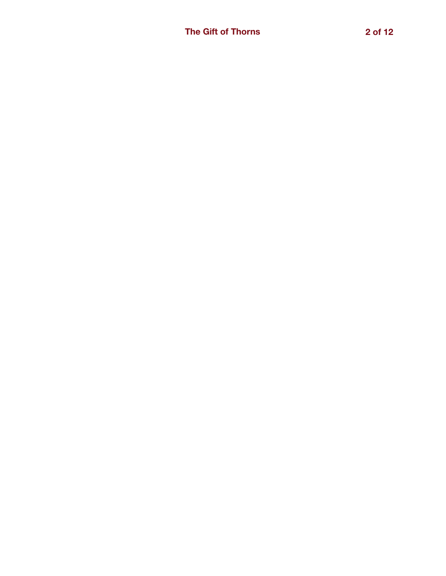## **The Gift of Thorns 2 of 12**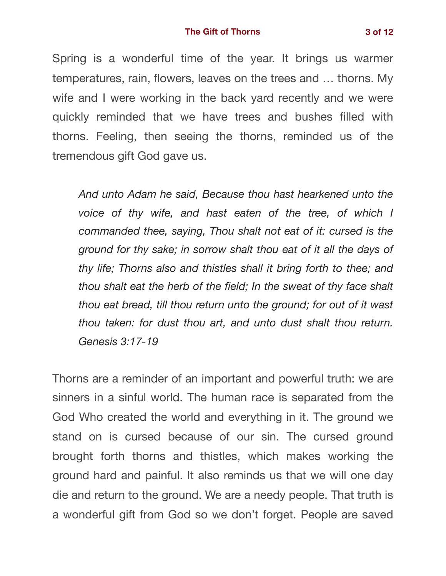Spring is a wonderful time of the year. It brings us warmer temperatures, rain, flowers, leaves on the trees and … thorns. My wife and I were working in the back yard recently and we were quickly reminded that we have trees and bushes filled with thorns. Feeling, then seeing the thorns, reminded us of the tremendous gift God gave us.

*And unto Adam he said, Because thou hast hearkened unto the voice of thy wife, and hast eaten of the tree, of which I commanded thee, saying, Thou shalt not eat of it: cursed is the ground for thy sake; in sorrow shalt thou eat of it all the days of thy life; Thorns also and thistles shall it bring forth to thee; and thou shalt eat the herb of the field; In the sweat of thy face shalt thou eat bread, till thou return unto the ground; for out of it wast thou taken: for dust thou art, and unto dust shalt thou return. Genesis 3:17-19* 

Thorns are a reminder of an important and powerful truth: we are sinners in a sinful world. The human race is separated from the God Who created the world and everything in it. The ground we stand on is cursed because of our sin. The cursed ground brought forth thorns and thistles, which makes working the ground hard and painful. It also reminds us that we will one day die and return to the ground. We are a needy people. That truth is a wonderful gift from God so we don't forget. People are saved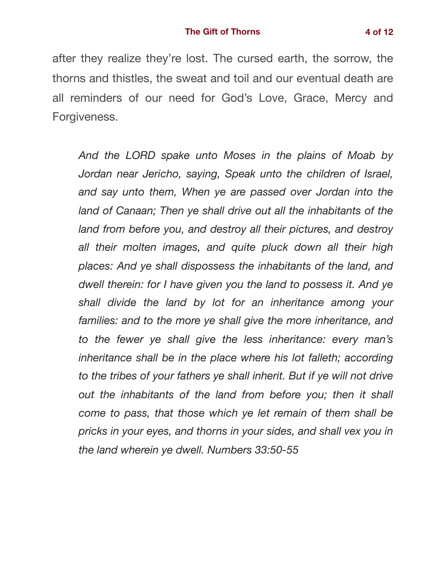after they realize they're lost. The cursed earth, the sorrow, the thorns and thistles, the sweat and toil and our eventual death are all reminders of our need for God's Love, Grace, Mercy and Forgiveness.

*And the LORD spake unto Moses in the plains of Moab by Jordan near Jericho, saying, Speak unto the children of Israel, and say unto them, When ye are passed over Jordan into the*  land of Canaan; Then ye shall drive out all the *inhabitants of the land from before you, and destroy all their pictures, and destroy all their molten images, and quite pluck down all their high places: And ye shall dispossess the inhabitants of the land, and dwell therein: for I have given you the land to possess it. And ye shall divide the land by lot for an inheritance among your*  families: and to the more ye shall give the more inheritance, and *to the fewer ye shall give the less inheritance: every man's inheritance shall be in the place where his lot falleth; according to the tribes of your fathers ye shall inherit. But if ye will not drive out the inhabitants of the land from before you; then it shall come to pass, that those which ye let remain of them shall be pricks in your eyes, and thorns in your sides, and shall vex you in the land wherein ye dwell. Numbers 33:50-55*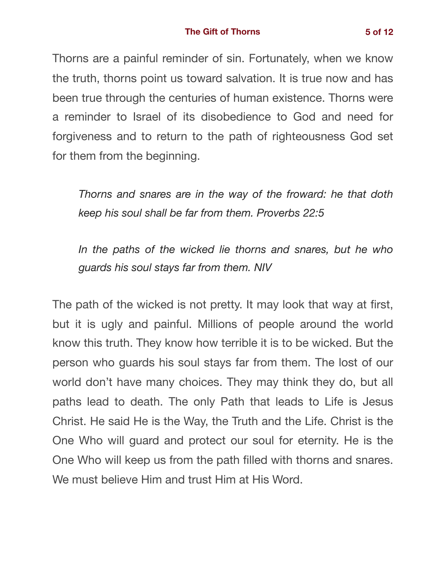Thorns are a painful reminder of sin. Fortunately, when we know the truth, thorns point us toward salvation. It is true now and has been true through the centuries of human existence. Thorns were a reminder to Israel of its disobedience to God and need for forgiveness and to return to the path of righteousness God set for them from the beginning.

*Thorns and snares are in the way of the froward: he that doth keep his soul shall be far from them. Proverbs 22:5* 

*In the paths of the wicked lie thorns and snares, but he who guards his soul stays far from them. NIV* 

The path of the wicked is not pretty. It may look that way at first, but it is ugly and painful. Millions of people around the world know this truth. They know how terrible it is to be wicked. But the person who guards his soul stays far from them. The lost of our world don't have many choices. They may think they do, but all paths lead to death. The only Path that leads to Life is Jesus Christ. He said He is the Way, the Truth and the Life. Christ is the One Who will guard and protect our soul for eternity. He is the One Who will keep us from the path filled with thorns and snares. We must believe Him and trust Him at His Word.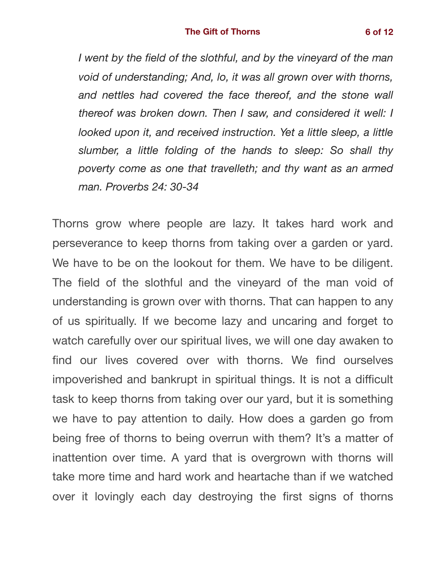*I went by the field of the slothful, and by the vineyard of the man void of understanding; And, lo, it was all grown over with thorns, and nettles had covered the face thereof, and the stone wall thereof was broken down. Then I saw, and considered it well: I looked upon it, and received instruction. Yet a little sleep, a little slumber, a little folding of the hands to sleep: So shall thy poverty come as one that travelleth; and thy want as an armed man. Proverbs 24: 30-34* 

Thorns grow where people are lazy. It takes hard work and perseverance to keep thorns from taking over a garden or yard. We have to be on the lookout for them. We have to be diligent. The field of the slothful and the vineyard of the man void of understanding is grown over with thorns. That can happen to any of us spiritually. If we become lazy and uncaring and forget to watch carefully over our spiritual lives, we will one day awaken to find our lives covered over with thorns. We find ourselves impoverished and bankrupt in spiritual things. It is not a difficult task to keep thorns from taking over our yard, but it is something we have to pay attention to daily. How does a garden go from being free of thorns to being overrun with them? It's a matter of inattention over time. A yard that is overgrown with thorns will take more time and hard work and heartache than if we watched over it lovingly each day destroying the first signs of thorns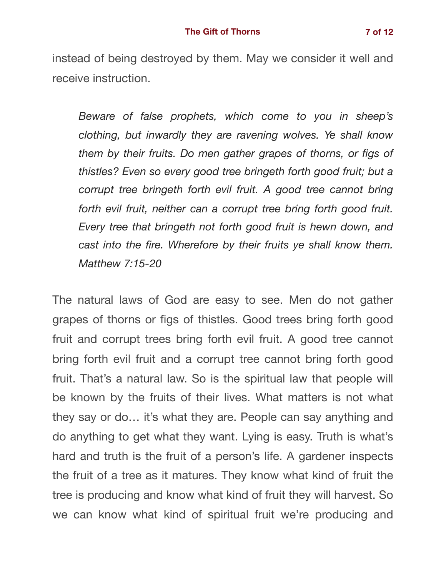instead of being destroyed by them. May we consider it well and receive instruction.

*Beware of false prophets, which come to you in sheep's clothing, but inwardly they are ravening wolves. Ye shall know them by their fruits. Do men gather grapes of thorns, or figs of thistles? Even so every good tree bringeth forth good fruit; but a corrupt tree bringeth forth evil fruit. A good tree cannot bring forth evil fruit, neither can a corrupt tree bring forth good fruit. Every tree that bringeth not forth good fruit is hewn down, and cast into the fire. Wherefore by their fruits ye shall know them. Matthew 7:15-20* 

The natural laws of God are easy to see. Men do not gather grapes of thorns or figs of thistles. Good trees bring forth good fruit and corrupt trees bring forth evil fruit. A good tree cannot bring forth evil fruit and a corrupt tree cannot bring forth good fruit. That's a natural law. So is the spiritual law that people will be known by the fruits of their lives. What matters is not what they say or do… it's what they are. People can say anything and do anything to get what they want. Lying is easy. Truth is what's hard and truth is the fruit of a person's life. A gardener inspects the fruit of a tree as it matures. They know what kind of fruit the tree is producing and know what kind of fruit they will harvest. So we can know what kind of spiritual fruit we're producing and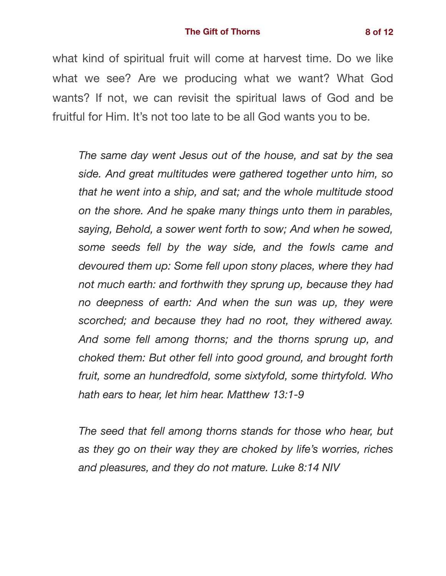#### **The Gift of Thorns 8 of 12**

what kind of spiritual fruit will come at harvest time. Do we like what we see? Are we producing what we want? What God wants? If not, we can revisit the spiritual laws of God and be fruitful for Him. It's not too late to be all God wants you to be.

*The same day went Jesus out of the house, and sat by the sea side. And great multitudes were gathered together unto him, so that he went into a ship, and sat; and the whole multitude stood on the shore. And he spake many things unto them in parables, saying, Behold, a sower went forth to sow; And when he sowed, some seeds fell by the way side, and the fowls came and devoured them up: Some fell upon stony places, where they had not much earth: and forthwith they sprung up, because they had no deepness of earth: And when the sun was up, they were scorched; and because they had no root, they withered away. And some fell among thorns; and the thorns sprung up, and choked them: But other fell into good ground, and brought forth fruit, some an hundredfold, some sixtyfold, some thirtyfold. Who hath ears to hear, let him hear. Matthew 13:1-9* 

*The seed that fell among thorns stands for those who hear, but as they go on their way they are choked by life's worries, riches and pleasures, and they do not mature. Luke 8:14 NIV*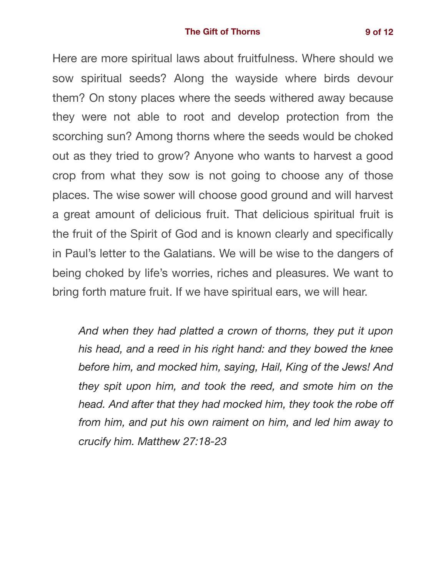### **The Gift of Thorns 12 9 of 12**

Here are more spiritual laws about fruitfulness. Where should we sow spiritual seeds? Along the wayside where birds devour them? On stony places where the seeds withered away because they were not able to root and develop protection from the scorching sun? Among thorns where the seeds would be choked out as they tried to grow? Anyone who wants to harvest a good crop from what they sow is not going to choose any of those places. The wise sower will choose good ground and will harvest a great amount of delicious fruit. That delicious spiritual fruit is the fruit of the Spirit of God and is known clearly and specifically in Paul's letter to the Galatians. We will be wise to the dangers of being choked by life's worries, riches and pleasures. We want to bring forth mature fruit. If we have spiritual ears, we will hear.

*And when they had platted a crown of thorns, they put it upon his head, and a reed in his right hand: and they bowed the knee before him, and mocked him, saying, Hail, King of the Jews! And they spit upon him, and took the reed, and smote him on the head. And after that they had mocked him, they took the robe off from him, and put his own raiment on him, and led him away to crucify him. Matthew 27:18-23*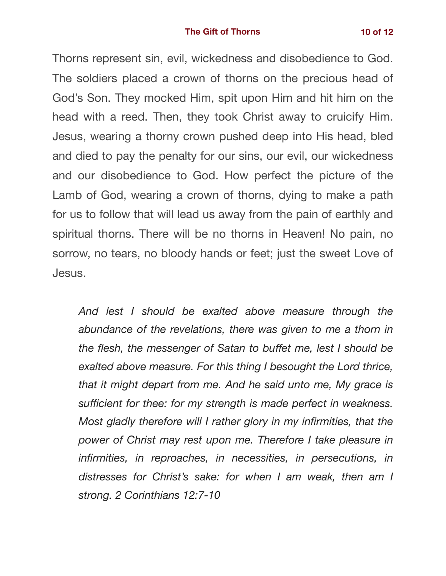#### **The Gift of Thorns 10 of 12**

Thorns represent sin, evil, wickedness and disobedience to God. The soldiers placed a crown of thorns on the precious head of God's Son. They mocked Him, spit upon Him and hit him on the head with a reed. Then, they took Christ away to cruicify Him. Jesus, wearing a thorny crown pushed deep into His head, bled and died to pay the penalty for our sins, our evil, our wickedness and our disobedience to God. How perfect the picture of the Lamb of God, wearing a crown of thorns, dying to make a path for us to follow that will lead us away from the pain of earthly and spiritual thorns. There will be no thorns in Heaven! No pain, no sorrow, no tears, no bloody hands or feet; just the sweet Love of Jesus.

*And lest I should be exalted above measure through the abundance of the revelations, there was given to me a thorn in the flesh, the messenger of Satan to buffet me, lest I should be exalted above measure. For this thing I besought the Lord thrice, that it might depart from me. And he said unto me, My grace is sufficient for thee: for my strength is made perfect in weakness. Most gladly therefore will I rather glory in my infirmities, that the power of Christ may rest upon me. Therefore I take pleasure in infirmities, in reproaches, in necessities, in persecutions, in distresses for Christ's sake: for when I am weak, then am I strong. 2 Corinthians 12:7-10*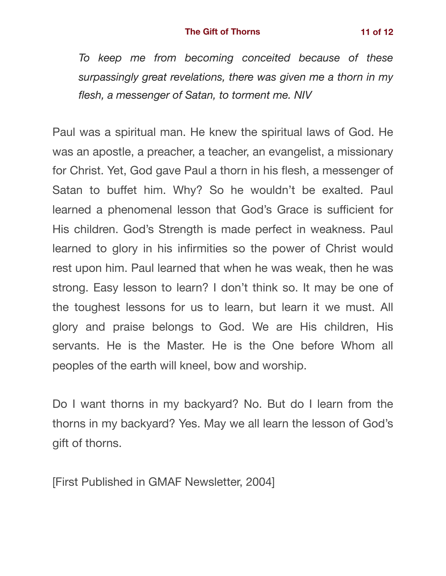*To keep me from becoming conceited because of these surpassingly great revelations, there was given me a thorn in my flesh, a messenger of Satan, to torment me. NIV* 

Paul was a spiritual man. He knew the spiritual laws of God. He was an apostle, a preacher, a teacher, an evangelist, a missionary for Christ. Yet, God gave Paul a thorn in his flesh, a messenger of Satan to buffet him. Why? So he wouldn't be exalted. Paul learned a phenomenal lesson that God's Grace is sufficient for His children. God's Strength is made perfect in weakness. Paul learned to glory in his infirmities so the power of Christ would rest upon him. Paul learned that when he was weak, then he was strong. Easy lesson to learn? I don't think so. It may be one of the toughest lessons for us to learn, but learn it we must. All glory and praise belongs to God. We are His children, His servants. He is the Master. He is the One before Whom all peoples of the earth will kneel, bow and worship.

Do I want thorns in my backyard? No. But do I learn from the thorns in my backyard? Yes. May we all learn the lesson of God's gift of thorns.

[First Published in GMAF Newsletter, 2004]